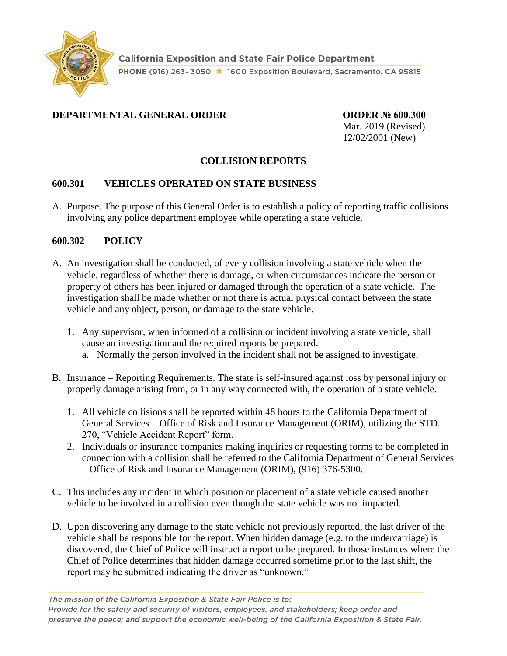

# **DEPARTMENTAL GENERAL ORDER ORDER № 600.300**

Mar. 2019 (Revised) 12/02/2001 (New)

## **COLLISION REPORTS**

### **600.301 VEHICLES OPERATED ON STATE BUSINESS**

A. Purpose. The purpose of this General Order is to establish a policy of reporting traffic collisions involving any police department employee while operating a state vehicle.

#### **600.302 POLICY**

- A. An investigation shall be conducted, of every collision involving a state vehicle when the vehicle, regardless of whether there is damage, or when circumstances indicate the person or property of others has been injured or damaged through the operation of a state vehicle. The investigation shall be made whether or not there is actual physical contact between the state vehicle and any object, person, or damage to the state vehicle.
	- 1. Any supervisor, when informed of a collision or incident involving a state vehicle, shall cause an investigation and the required reports be prepared.
		- a. Normally the person involved in the incident shall not be assigned to investigate.
- B. Insurance Reporting Requirements. The state is self-insured against loss by personal injury or properly damage arising from, or in any way connected with, the operation of a state vehicle.
	- 1. All vehicle collisions shall be reported within 48 hours to the California Department of General Services – Office of Risk and Insurance Management (ORIM), utilizing the STD. 270, "Vehicle Accident Report" form.
	- 2. Individuals or insurance companies making inquiries or requesting forms to be completed in connection with a collision shall be referred to the California Department of General Services – Office of Risk and Insurance Management (ORIM), (916) 376-5300.
- C. This includes any incident in which position or placement of a state vehicle caused another vehicle to be involved in a collision even though the state vehicle was not impacted.
- D. Upon discovering any damage to the state vehicle not previously reported, the last driver of the vehicle shall be responsible for the report. When hidden damage (e.g. to the undercarriage) is discovered, the Chief of Police will instruct a report to be prepared. In those instances where the Chief of Police determines that hidden damage occurred sometime prior to the last shift, the report may be submitted indicating the driver as "unknown."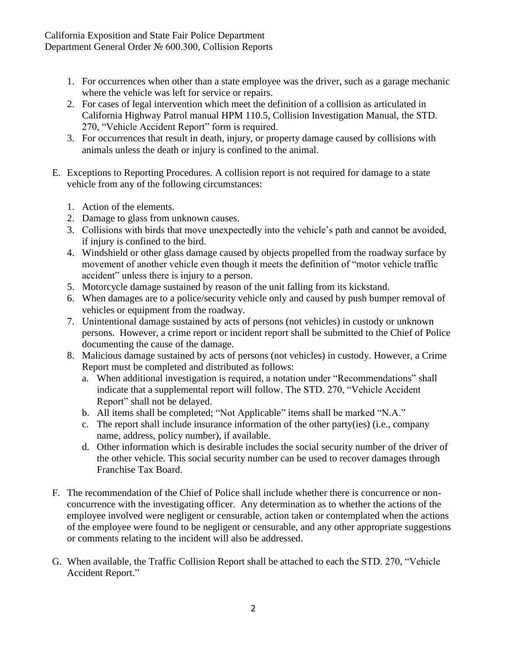- 1. For occurrences when other than a state employee was the driver, such as a garage mechanic where the vehicle was left for service or repairs.
- 2. For cases of legal intervention which meet the definition of a collision as articulated in California Highway Patrol manual HPM 110.5, Collision Investigation Manual, the STD. 270, "Vehicle Accident Report" form is required.
- 3. For occurrences that result in death, injury, or property damage caused by collisions with animals unless the death or injury is confined to the animal.
- E. Exceptions to Reporting Procedures. A collision report is not required for damage to a state vehicle from any of the following circumstances:
	- 1. Action of the elements.
	- 2. Damage to glass from unknown causes.
	- 3. Collisions with birds that move unexpectedly into the vehicle's path and cannot be avoided, if injury is confined to the bird.
	- 4. Windshield or other glass damage caused by objects propelled from the roadway surface by movement of another vehicle even though it meets the definition of "motor vehicle traffic accident" unless there is injury to a person.
	- 5. Motorcycle damage sustained by reason of the unit falling from its kickstand.
	- 6. When damages are to a police/security vehicle only and caused by push bumper removal of vehicles or equipment from the roadway.
	- 7. Unintentional damage sustained by acts of persons (not vehicles) in custody or unknown persons. However, a crime report or incident report shall be submitted to the Chief of Police documenting the cause of the damage.
	- 8. Malicious damage sustained by acts of persons (not vehicles) in custody. However, a Crime Report must be completed and distributed as follows:
		- a. When additional investigation is required, a notation under "Recommendations" shall indicate that a supplemental report will follow. The STD. 270, "Vehicle Accident Report" shall not be delayed.
		- b. All items shall be completed; "Not Applicable" items shall be marked "N.A."
		- c. The report shall include insurance information of the other party(ies) (i.e., company name, address, policy number), if available.
		- d. Other information which is desirable includes the social security number of the driver of the other vehicle. This social security number can be used to recover damages through Franchise Tax Board.
- F. The recommendation of the Chief of Police shall include whether there is concurrence or nonconcurrence with the investigating officer. Any determination as to whether the actions of the employee involved were negligent or censurable, action taken or contemplated when the actions of the employee were found to be negligent or censurable, and any other appropriate suggestions or comments relating to the incident will also be addressed.
- G. When available, the Traffic Collision Report shall be attached to each the STD. 270, "Vehicle Accident Report."